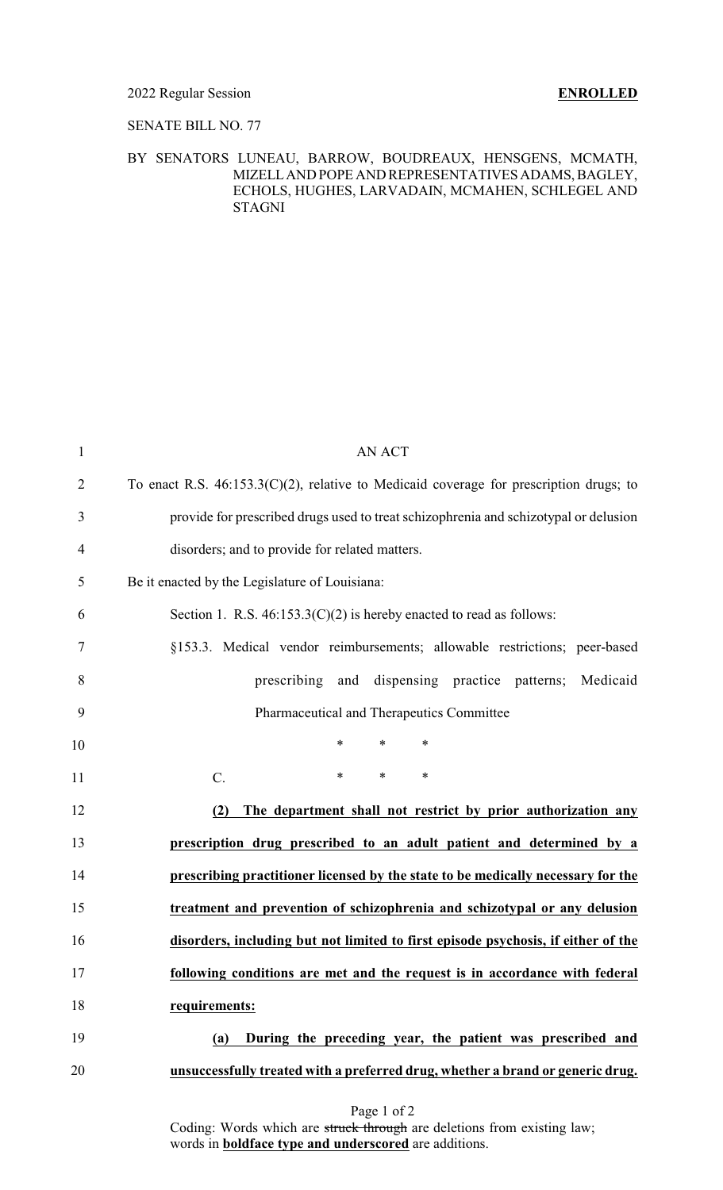#### 2022 Regular Session **ENROLLED**

## SENATE BILL NO. 77

## BY SENATORS LUNEAU, BARROW, BOUDREAUX, HENSGENS, MCMATH, MIZELLAND POPE AND REPRESENTATIVES ADAMS, BAGLEY, ECHOLS, HUGHES, LARVADAIN, MCMAHEN, SCHLEGEL AND STAGNI

| $\mathbf{1}$   | <b>AN ACT</b>                                                                             |
|----------------|-------------------------------------------------------------------------------------------|
| $\overline{2}$ | To enact R.S. $46:153.3(C)(2)$ , relative to Medicaid coverage for prescription drugs; to |
| 3              | provide for prescribed drugs used to treat schizophrenia and schizotypal or delusion      |
| 4              | disorders; and to provide for related matters.                                            |
| 5              | Be it enacted by the Legislature of Louisiana:                                            |
| 6              | Section 1. R.S. $46:153.3(C)(2)$ is hereby enacted to read as follows:                    |
| 7              | §153.3. Medical vendor reimbursements; allowable restrictions; peer-based                 |
| 8              | prescribing and dispensing practice patterns;<br>Medicaid                                 |
| 9              | Pharmaceutical and Therapeutics Committee                                                 |
| 10             | $\ast$<br>$\ast$<br>$\ast$                                                                |
| 11             | $\ast$<br>$\ast$<br>$C$ .<br>∗                                                            |
| 12             | The department shall not restrict by prior authorization any<br>(2)                       |
| 13             | prescription drug prescribed to an adult patient and determined by a                      |
| 14             | prescribing practitioner licensed by the state to be medically necessary for the          |
| 15             | treatment and prevention of schizophrenia and schizotypal or any delusion                 |
| 16             | disorders, including but not limited to first episode psychosis, if either of the         |
| 17             | following conditions are met and the request is in accordance with federal                |
| 18             | requirements:                                                                             |
| 19             | During the preceding year, the patient was prescribed and<br>(a)                          |
| 20             | unsuccessfully treated with a preferred drug, whether a brand or generic drug.            |

Page 1 of 2

Coding: Words which are struck through are deletions from existing law; words in **boldface type and underscored** are additions.